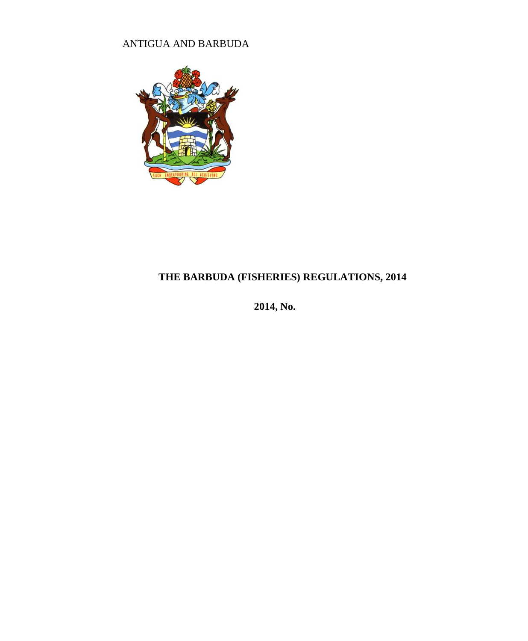# ANTIGUA AND BARBUDA



# **THE BARBUDA (FISHERIES) REGULATIONS, 2014**

**2014, No.**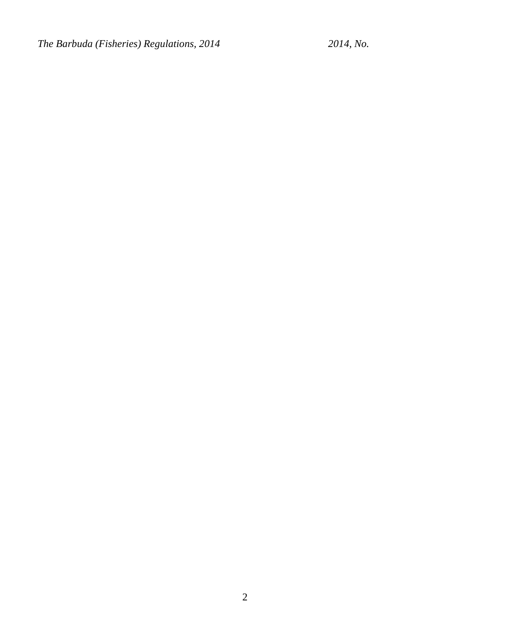*The Barbuda (Fisheries) Regulations, 2014 2014, No.*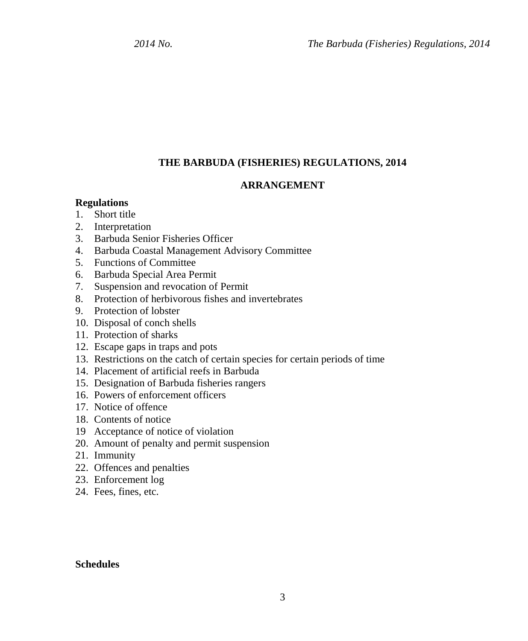# **THE BARBUDA (FISHERIES) REGULATIONS, 2014**

# **ARRANGEMENT**

## **Regulations**

- 1. Short title
- 2. Interpretation
- 3. Barbuda Senior Fisheries Officer
- 4. Barbuda Coastal Management Advisory Committee
- 5. Functions of Committee
- 6. Barbuda Special Area Permit
- 7. Suspension and revocation of Permit
- 8. Protection of herbivorous fishes and invertebrates
- 9. Protection of lobster
- 10. Disposal of conch shells
- 11. Protection of sharks
- 12. Escape gaps in traps and pots
- 13. Restrictions on the catch of certain species for certain periods of time
- 14. Placement of artificial reefs in Barbuda
- 15. Designation of Barbuda fisheries rangers
- 16. Powers of enforcement officers
- 17. Notice of offence
- 18. Contents of notice
- 19 Acceptance of notice of violation
- 20. Amount of penalty and permit suspension
- 21. Immunity
- 22. Offences and penalties
- 23. Enforcement log
- 24. Fees, fines, etc.

## **Schedules**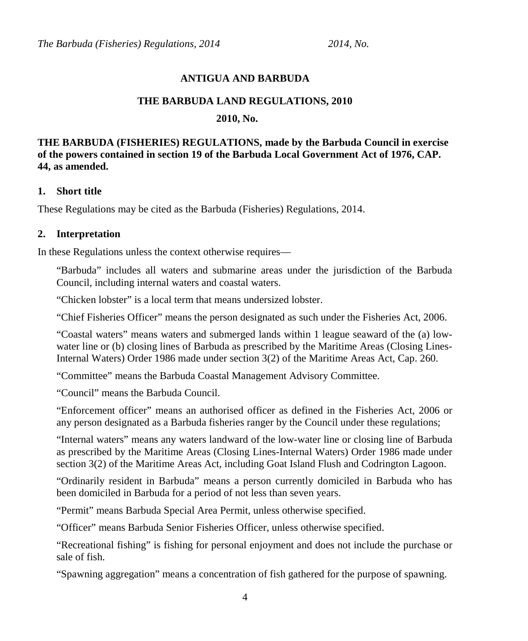## **ANTIGUA AND BARBUDA**

#### **THE BARBUDA LAND REGULATIONS, 2010**

#### **2010, No.**

## **THE BARBUDA (FISHERIES) REGULATIONS, made by the Barbuda Council in exercise of the powers contained in section 19 of the Barbuda Local Government Act of 1976, CAP. 44, as amended.**

#### **1. Short title**

These Regulations may be cited as the Barbuda (Fisheries) Regulations, 2014.

#### **2. Interpretation**

In these Regulations unless the context otherwise requires—

"Barbuda" includes all waters and submarine areas under the jurisdiction of the Barbuda Council, including internal waters and coastal waters.

"Chicken lobster" is a local term that means undersized lobster.

"Chief Fisheries Officer" means the person designated as such under the Fisheries Act, 2006.

"Coastal waters" means waters and submerged lands within 1 league seaward of the (a) lowwater line or (b) closing lines of Barbuda as prescribed by the Maritime Areas (Closing Lines-Internal Waters) Order 1986 made under section 3(2) of the Maritime Areas Act, Cap. 260.

"Committee" means the Barbuda Coastal Management Advisory Committee.

"Council" means the Barbuda Council.

"Enforcement officer" means an authorised officer as defined in the Fisheries Act, 2006 or any person designated as a Barbuda fisheries ranger by the Council under these regulations;

"Internal waters" means any waters landward of the low-water line or closing line of Barbuda as prescribed by the Maritime Areas (Closing Lines-Internal Waters) Order 1986 made under section 3(2) of the Maritime Areas Act, including Goat Island Flush and Codrington Lagoon.

"Ordinarily resident in Barbuda" means a person currently domiciled in Barbuda who has been domiciled in Barbuda for a period of not less than seven years.

"Permit" means Barbuda Special Area Permit, unless otherwise specified.

"Officer" means Barbuda Senior Fisheries Officer, unless otherwise specified.

"Recreational fishing" is fishing for personal enjoyment and does not include the purchase or sale of fish.

"Spawning aggregation" means a concentration of fish gathered for the purpose of spawning.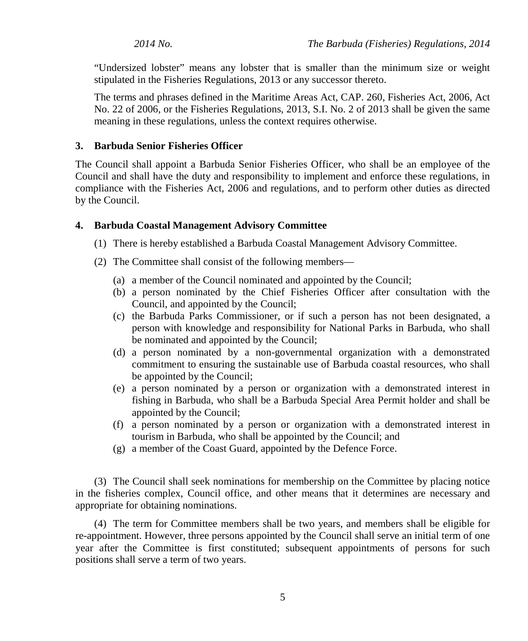"Undersized lobster" means any lobster that is smaller than the minimum size or weight stipulated in the Fisheries Regulations, 2013 or any successor thereto.

The terms and phrases defined in the Maritime Areas Act, CAP. 260, Fisheries Act, 2006, Act No. 22 of 2006, or the Fisheries Regulations, 2013, S.I. No. 2 of 2013 shall be given the same meaning in these regulations, unless the context requires otherwise.

## **3. Barbuda Senior Fisheries Officer**

The Council shall appoint a Barbuda Senior Fisheries Officer, who shall be an employee of the Council and shall have the duty and responsibility to implement and enforce these regulations, in compliance with the Fisheries Act, 2006 and regulations, and to perform other duties as directed by the Council.

## **4. Barbuda Coastal Management Advisory Committee**

- (1) There is hereby established a Barbuda Coastal Management Advisory Committee.
- (2) The Committee shall consist of the following members—
	- (a) a member of the Council nominated and appointed by the Council;
	- (b) a person nominated by the Chief Fisheries Officer after consultation with the Council, and appointed by the Council;
	- (c) the Barbuda Parks Commissioner, or if such a person has not been designated, a person with knowledge and responsibility for National Parks in Barbuda, who shall be nominated and appointed by the Council;
	- (d) a person nominated by a non-governmental organization with a demonstrated commitment to ensuring the sustainable use of Barbuda coastal resources, who shall be appointed by the Council;
	- (e) a person nominated by a person or organization with a demonstrated interest in fishing in Barbuda, who shall be a Barbuda Special Area Permit holder and shall be appointed by the Council;
	- (f) a person nominated by a person or organization with a demonstrated interest in tourism in Barbuda, who shall be appointed by the Council; and
	- (g) a member of the Coast Guard, appointed by the Defence Force.

(3) The Council shall seek nominations for membership on the Committee by placing notice in the fisheries complex, Council office, and other means that it determines are necessary and appropriate for obtaining nominations.

(4) The term for Committee members shall be two years, and members shall be eligible for re-appointment. However, three persons appointed by the Council shall serve an initial term of one year after the Committee is first constituted; subsequent appointments of persons for such positions shall serve a term of two years.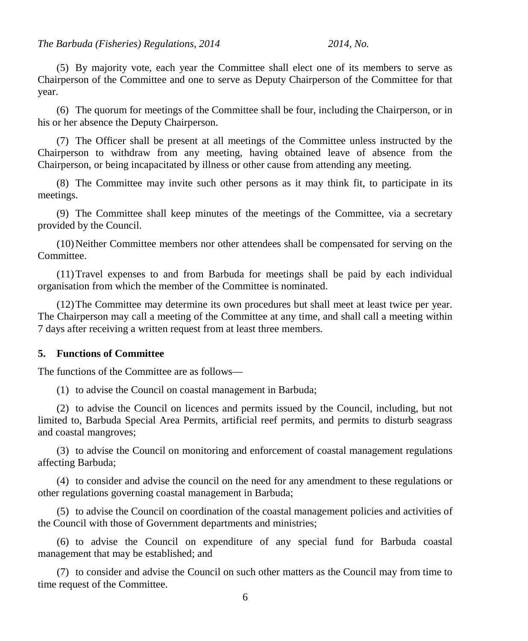(5) By majority vote, each year the Committee shall elect one of its members to serve as Chairperson of the Committee and one to serve as Deputy Chairperson of the Committee for that year.

(6) The quorum for meetings of the Committee shall be four, including the Chairperson, or in his or her absence the Deputy Chairperson.

(7) The Officer shall be present at all meetings of the Committee unless instructed by the Chairperson to withdraw from any meeting, having obtained leave of absence from the Chairperson, or being incapacitated by illness or other cause from attending any meeting.

(8) The Committee may invite such other persons as it may think fit, to participate in its meetings.

(9) The Committee shall keep minutes of the meetings of the Committee, via a secretary provided by the Council.

(10)Neither Committee members nor other attendees shall be compensated for serving on the Committee.

(11)Travel expenses to and from Barbuda for meetings shall be paid by each individual organisation from which the member of the Committee is nominated.

(12)The Committee may determine its own procedures but shall meet at least twice per year. The Chairperson may call a meeting of the Committee at any time, and shall call a meeting within 7 days after receiving a written request from at least three members.

### **5. Functions of Committee**

The functions of the Committee are as follows—

(1) to advise the Council on coastal management in Barbuda;

(2) to advise the Council on licences and permits issued by the Council, including, but not limited to, Barbuda Special Area Permits, artificial reef permits, and permits to disturb seagrass and coastal mangroves;

(3) to advise the Council on monitoring and enforcement of coastal management regulations affecting Barbuda;

(4) to consider and advise the council on the need for any amendment to these regulations or other regulations governing coastal management in Barbuda;

(5) to advise the Council on coordination of the coastal management policies and activities of the Council with those of Government departments and ministries;

(6) to advise the Council on expenditure of any special fund for Barbuda coastal management that may be established; and

(7) to consider and advise the Council on such other matters as the Council may from time to time request of the Committee.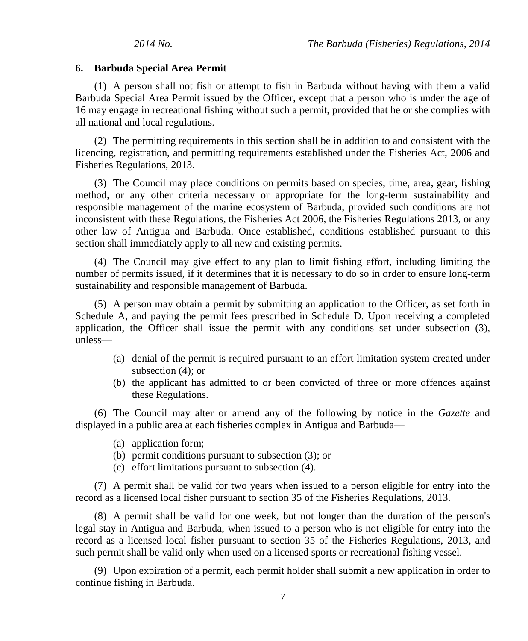#### **6. Barbuda Special Area Permit**

(1) A person shall not fish or attempt to fish in Barbuda without having with them a valid Barbuda Special Area Permit issued by the Officer, except that a person who is under the age of 16 may engage in recreational fishing without such a permit, provided that he or she complies with all national and local regulations.

(2) The permitting requirements in this section shall be in addition to and consistent with the licencing, registration, and permitting requirements established under the Fisheries Act, 2006 and Fisheries Regulations, 2013.

(3) The Council may place conditions on permits based on species, time, area, gear, fishing method, or any other criteria necessary or appropriate for the long-term sustainability and responsible management of the marine ecosystem of Barbuda, provided such conditions are not inconsistent with these Regulations, the Fisheries Act 2006, the Fisheries Regulations 2013, or any other law of Antigua and Barbuda. Once established, conditions established pursuant to this section shall immediately apply to all new and existing permits.

(4) The Council may give effect to any plan to limit fishing effort, including limiting the number of permits issued, if it determines that it is necessary to do so in order to ensure long-term sustainability and responsible management of Barbuda.

(5) A person may obtain a permit by submitting an application to the Officer, as set forth in Schedule A, and paying the permit fees prescribed in Schedule D. Upon receiving a completed application, the Officer shall issue the permit with any conditions set under subsection (3), unless—

- (a) denial of the permit is required pursuant to an effort limitation system created under subsection (4); or
- (b) the applicant has admitted to or been convicted of three or more offences against these Regulations.

(6) The Council may alter or amend any of the following by notice in the *Gazette* and displayed in a public area at each fisheries complex in Antigua and Barbuda—

- (a) application form;
- (b) permit conditions pursuant to subsection (3); or
- (c) effort limitations pursuant to subsection (4).

(7) A permit shall be valid for two years when issued to a person eligible for entry into the record as a licensed local fisher pursuant to section 35 of the Fisheries Regulations, 2013.

(8) A permit shall be valid for one week, but not longer than the duration of the person's legal stay in Antigua and Barbuda, when issued to a person who is not eligible for entry into the record as a licensed local fisher pursuant to section 35 of the Fisheries Regulations, 2013, and such permit shall be valid only when used on a licensed sports or recreational fishing vessel.

(9) Upon expiration of a permit, each permit holder shall submit a new application in order to continue fishing in Barbuda.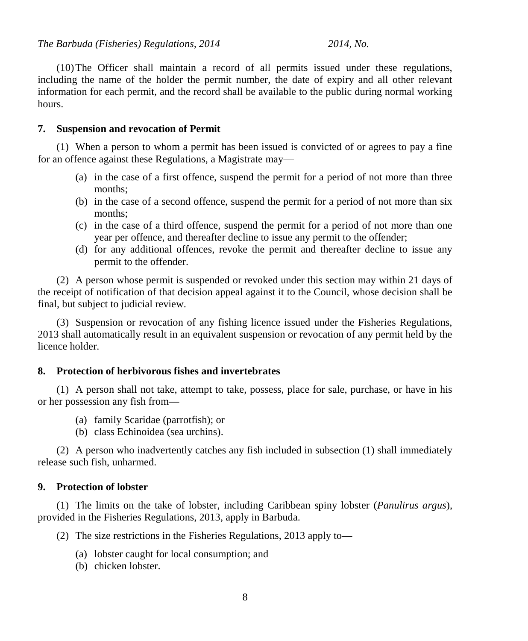(10)The Officer shall maintain a record of all permits issued under these regulations, including the name of the holder the permit number, the date of expiry and all other relevant information for each permit, and the record shall be available to the public during normal working hours.

## **7. Suspension and revocation of Permit**

(1) When a person to whom a permit has been issued is convicted of or agrees to pay a fine for an offence against these Regulations, a Magistrate may—

- (a) in the case of a first offence, suspend the permit for a period of not more than three months<sup>\*</sup>
- (b) in the case of a second offence, suspend the permit for a period of not more than six months;
- (c) in the case of a third offence, suspend the permit for a period of not more than one year per offence, and thereafter decline to issue any permit to the offender;
- (d) for any additional offences, revoke the permit and thereafter decline to issue any permit to the offender.

(2) A person whose permit is suspended or revoked under this section may within 21 days of the receipt of notification of that decision appeal against it to the Council, whose decision shall be final, but subject to judicial review.

(3) Suspension or revocation of any fishing licence issued under the Fisheries Regulations, 2013 shall automatically result in an equivalent suspension or revocation of any permit held by the licence holder.

### **8. Protection of herbivorous fishes and invertebrates**

(1) A person shall not take, attempt to take, possess, place for sale, purchase, or have in his or her possession any fish from—

- (a) family Scaridae (parrotfish); or
- (b) class Echinoidea (sea urchins).

(2) A person who inadvertently catches any fish included in subsection (1) shall immediately release such fish, unharmed.

### **9. Protection of lobster**

(1) The limits on the take of lobster, including Caribbean spiny lobster (*Panulirus argus*), provided in the Fisheries Regulations, 2013, apply in Barbuda.

- (2) The size restrictions in the Fisheries Regulations, 2013 apply to—
	- (a) lobster caught for local consumption; and
	- (b) chicken lobster.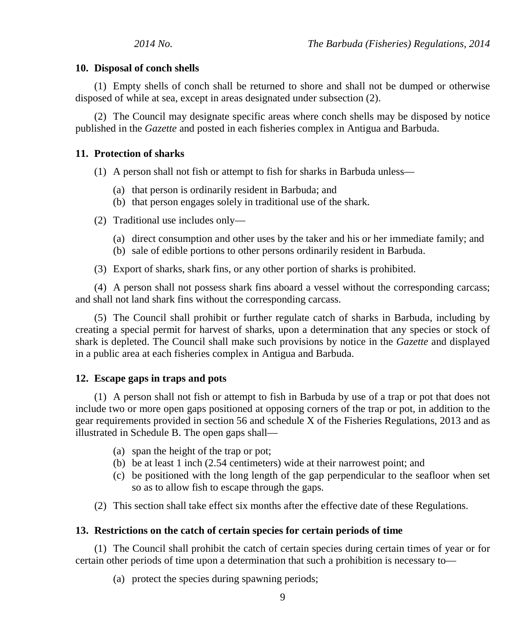### **10. Disposal of conch shells**

(1) Empty shells of conch shall be returned to shore and shall not be dumped or otherwise disposed of while at sea, except in areas designated under subsection (2).

(2) The Council may designate specific areas where conch shells may be disposed by notice published in the *Gazette* and posted in each fisheries complex in Antigua and Barbuda.

### **11. Protection of sharks**

(1) A person shall not fish or attempt to fish for sharks in Barbuda unless—

- (a) that person is ordinarily resident in Barbuda; and
- (b) that person engages solely in traditional use of the shark.

(2) Traditional use includes only—

- (a) direct consumption and other uses by the taker and his or her immediate family; and
- (b) sale of edible portions to other persons ordinarily resident in Barbuda.
- (3) Export of sharks, shark fins, or any other portion of sharks is prohibited.

(4) A person shall not possess shark fins aboard a vessel without the corresponding carcass; and shall not land shark fins without the corresponding carcass.

(5) The Council shall prohibit or further regulate catch of sharks in Barbuda, including by creating a special permit for harvest of sharks, upon a determination that any species or stock of shark is depleted. The Council shall make such provisions by notice in the *Gazette* and displayed in a public area at each fisheries complex in Antigua and Barbuda.

### **12. Escape gaps in traps and pots**

(1) A person shall not fish or attempt to fish in Barbuda by use of a trap or pot that does not include two or more open gaps positioned at opposing corners of the trap or pot, in addition to the gear requirements provided in section 56 and schedule X of the Fisheries Regulations, 2013 and as illustrated in Schedule B. The open gaps shall—

- (a) span the height of the trap or pot;
- (b) be at least 1 inch (2.54 centimeters) wide at their narrowest point; and
- (c) be positioned with the long length of the gap perpendicular to the seafloor when set so as to allow fish to escape through the gaps.
- (2) This section shall take effect six months after the effective date of these Regulations.

### **13. Restrictions on the catch of certain species for certain periods of time**

(1) The Council shall prohibit the catch of certain species during certain times of year or for certain other periods of time upon a determination that such a prohibition is necessary to—

(a) protect the species during spawning periods;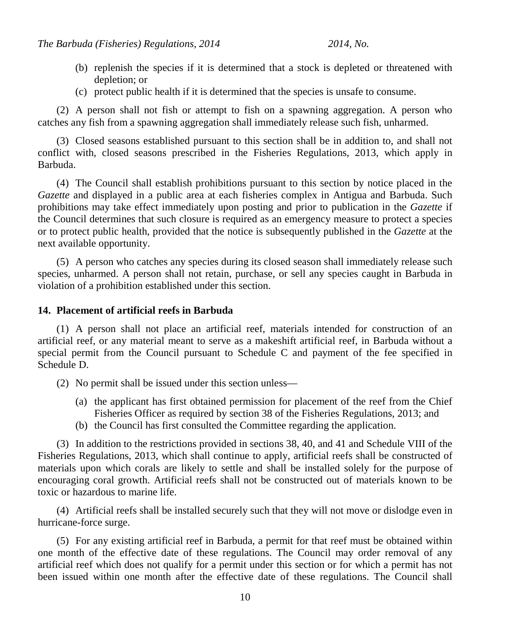- (b) replenish the species if it is determined that a stock is depleted or threatened with depletion; or
- (c) protect public health if it is determined that the species is unsafe to consume.

(2) A person shall not fish or attempt to fish on a spawning aggregation. A person who catches any fish from a spawning aggregation shall immediately release such fish, unharmed.

(3) Closed seasons established pursuant to this section shall be in addition to, and shall not conflict with, closed seasons prescribed in the Fisheries Regulations, 2013, which apply in Barbuda.

(4) The Council shall establish prohibitions pursuant to this section by notice placed in the *Gazette* and displayed in a public area at each fisheries complex in Antigua and Barbuda. Such prohibitions may take effect immediately upon posting and prior to publication in the *Gazette* if the Council determines that such closure is required as an emergency measure to protect a species or to protect public health, provided that the notice is subsequently published in the *Gazette* at the next available opportunity.

(5) A person who catches any species during its closed season shall immediately release such species, unharmed. A person shall not retain, purchase, or sell any species caught in Barbuda in violation of a prohibition established under this section.

#### **14. Placement of artificial reefs in Barbuda**

(1) A person shall not place an artificial reef, materials intended for construction of an artificial reef, or any material meant to serve as a makeshift artificial reef, in Barbuda without a special permit from the Council pursuant to Schedule C and payment of the fee specified in Schedule D.

- (2) No permit shall be issued under this section unless—
	- (a) the applicant has first obtained permission for placement of the reef from the Chief Fisheries Officer as required by section 38 of the Fisheries Regulations, 2013; and
	- (b) the Council has first consulted the Committee regarding the application.

(3) In addition to the restrictions provided in sections 38, 40, and 41 and Schedule VIII of the Fisheries Regulations, 2013, which shall continue to apply, artificial reefs shall be constructed of materials upon which corals are likely to settle and shall be installed solely for the purpose of encouraging coral growth. Artificial reefs shall not be constructed out of materials known to be toxic or hazardous to marine life.

(4) Artificial reefs shall be installed securely such that they will not move or dislodge even in hurricane-force surge.

(5) For any existing artificial reef in Barbuda, a permit for that reef must be obtained within one month of the effective date of these regulations. The Council may order removal of any artificial reef which does not qualify for a permit under this section or for which a permit has not been issued within one month after the effective date of these regulations. The Council shall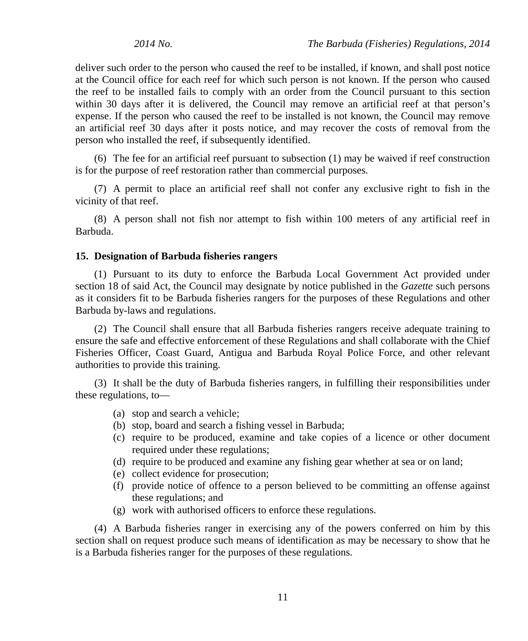deliver such order to the person who caused the reef to be installed, if known, and shall post notice at the Council office for each reef for which such person is not known. If the person who caused the reef to be installed fails to comply with an order from the Council pursuant to this section within 30 days after it is delivered, the Council may remove an artificial reef at that person's expense. If the person who caused the reef to be installed is not known, the Council may remove an artificial reef 30 days after it posts notice, and may recover the costs of removal from the person who installed the reef, if subsequently identified.

(6) The fee for an artificial reef pursuant to subsection (1) may be waived if reef construction is for the purpose of reef restoration rather than commercial purposes.

(7) A permit to place an artificial reef shall not confer any exclusive right to fish in the vicinity of that reef.

(8) A person shall not fish nor attempt to fish within 100 meters of any artificial reef in Barbuda.

#### **15. Designation of Barbuda fisheries rangers**

(1) Pursuant to its duty to enforce the Barbuda Local Government Act provided under section 18 of said Act, the Council may designate by notice published in the *Gazette* such persons as it considers fit to be Barbuda fisheries rangers for the purposes of these Regulations and other Barbuda by-laws and regulations.

(2) The Council shall ensure that all Barbuda fisheries rangers receive adequate training to ensure the safe and effective enforcement of these Regulations and shall collaborate with the Chief Fisheries Officer, Coast Guard, Antigua and Barbuda Royal Police Force, and other relevant authorities to provide this training.

(3) It shall be the duty of Barbuda fisheries rangers, in fulfilling their responsibilities under these regulations, to—

- (a) stop and search a vehicle;
- (b) stop, board and search a fishing vessel in Barbuda;
- (c) require to be produced, examine and take copies of a licence or other document required under these regulations;
- (d) require to be produced and examine any fishing gear whether at sea or on land;
- (e) collect evidence for prosecution;
- (f) provide notice of offence to a person believed to be committing an offense against these regulations; and
- (g) work with authorised officers to enforce these regulations.

(4) A Barbuda fisheries ranger in exercising any of the powers conferred on him by this section shall on request produce such means of identification as may be necessary to show that he is a Barbuda fisheries ranger for the purposes of these regulations.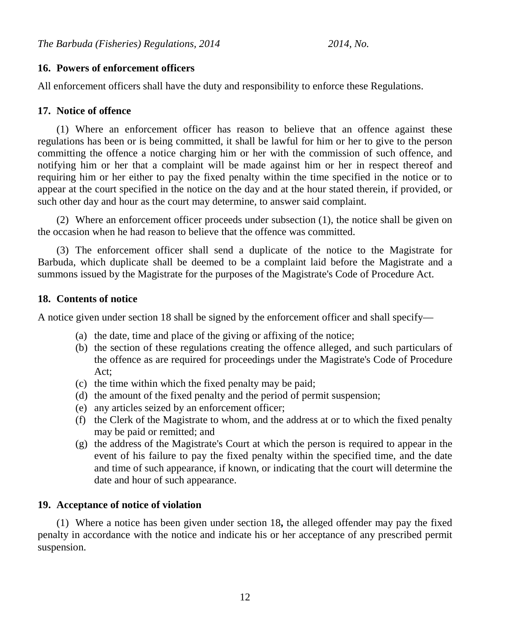## **16. Powers of enforcement officers**

All enforcement officers shall have the duty and responsibility to enforce these Regulations.

## **17. Notice of offence**

(1) Where an enforcement officer has reason to believe that an offence against these regulations has been or is being committed, it shall be lawful for him or her to give to the person committing the offence a notice charging him or her with the commission of such offence, and notifying him or her that a complaint will be made against him or her in respect thereof and requiring him or her either to pay the fixed penalty within the time specified in the notice or to appear at the court specified in the notice on the day and at the hour stated therein, if provided, or such other day and hour as the court may determine, to answer said complaint.

(2) Where an enforcement officer proceeds under subsection (1)*,* the notice shall be given on the occasion when he had reason to believe that the offence was committed.

(3) The enforcement officer shall send a duplicate of the notice to the Magistrate for Barbuda, which duplicate shall be deemed to be a complaint laid before the Magistrate and a summons issued by the Magistrate for the purposes of the Magistrate's Code of Procedure Act.

## **18. Contents of notice**

A notice given under section 18 shall be signed by the enforcement officer and shall specify—

- (a) the date, time and place of the giving or affixing of the notice;
- (b) the section of these regulations creating the offence alleged, and such particulars of the offence as are required for proceedings under the Magistrate's Code of Procedure Act;
- (c) the time within which the fixed penalty may be paid;
- (d) the amount of the fixed penalty and the period of permit suspension;
- (e) any articles seized by an enforcement officer;
- (f) the Clerk of the Magistrate to whom, and the address at or to which the fixed penalty may be paid or remitted; and
- (g) the address of the Magistrate's Court at which the person is required to appear in the event of his failure to pay the fixed penalty within the specified time, and the date and time of such appearance, if known, or indicating that the court will determine the date and hour of such appearance.

## **19. Acceptance of notice of violation**

(1) Where a notice has been given under section 18**,** the alleged offender may pay the fixed penalty in accordance with the notice and indicate his or her acceptance of any prescribed permit suspension.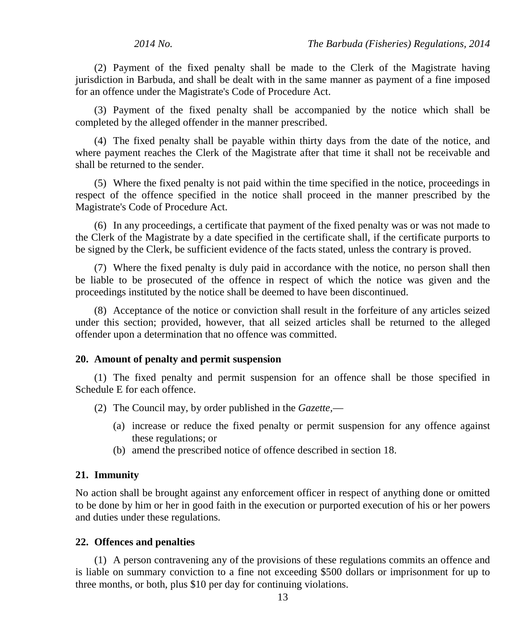(2) Payment of the fixed penalty shall be made to the Clerk of the Magistrate having jurisdiction in Barbuda, and shall be dealt with in the same manner as payment of a fine imposed for an offence under the Magistrate's Code of Procedure Act.

(3) Payment of the fixed penalty shall be accompanied by the notice which shall be completed by the alleged offender in the manner prescribed.

(4) The fixed penalty shall be payable within thirty days from the date of the notice, and where payment reaches the Clerk of the Magistrate after that time it shall not be receivable and shall be returned to the sender.

(5) Where the fixed penalty is not paid within the time specified in the notice, proceedings in respect of the offence specified in the notice shall proceed in the manner prescribed by the Magistrate's Code of Procedure Act.

(6) In any proceedings, a certificate that payment of the fixed penalty was or was not made to the Clerk of the Magistrate by a date specified in the certificate shall, if the certificate purports to be signed by the Clerk, be sufficient evidence of the facts stated, unless the contrary is proved.

(7) Where the fixed penalty is duly paid in accordance with the notice, no person shall then be liable to be prosecuted of the offence in respect of which the notice was given and the proceedings instituted by the notice shall be deemed to have been discontinued.

(8) Acceptance of the notice or conviction shall result in the forfeiture of any articles seized under this section; provided, however, that all seized articles shall be returned to the alleged offender upon a determination that no offence was committed.

#### **20. Amount of penalty and permit suspension**

(1) The fixed penalty and permit suspension for an offence shall be those specified in Schedule E for each offence.

(2) The Council may, by order published in the *Gazette,*—

- (a) increase or reduce the fixed penalty or permit suspension for any offence against these regulations; or
- (b) amend the prescribed notice of offence described in section 18.

#### **21. Immunity**

No action shall be brought against any enforcement officer in respect of anything done or omitted to be done by him or her in good faith in the execution or purported execution of his or her powers and duties under these regulations.

#### **22. Offences and penalties**

(1) A person contravening any of the provisions of these regulations commits an offence and is liable on summary conviction to a fine not exceeding \$500 dollars or imprisonment for up to three months, or both, plus \$10 per day for continuing violations.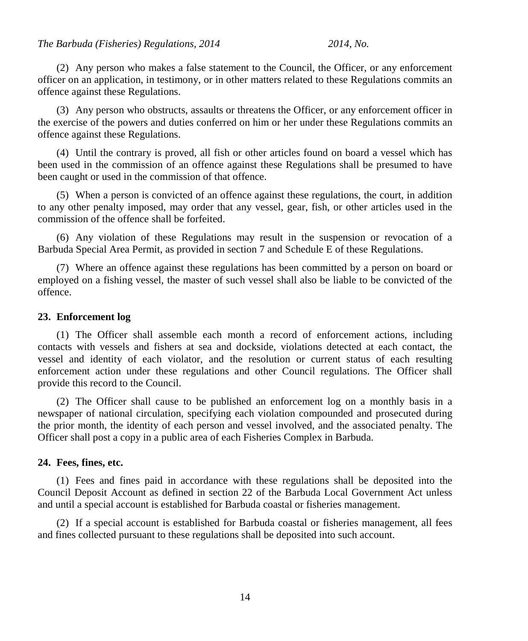(2) Any person who makes a false statement to the Council, the Officer, or any enforcement officer on an application, in testimony, or in other matters related to these Regulations commits an offence against these Regulations.

(3) Any person who obstructs, assaults or threatens the Officer, or any enforcement officer in the exercise of the powers and duties conferred on him or her under these Regulations commits an offence against these Regulations.

(4) Until the contrary is proved, all fish or other articles found on board a vessel which has been used in the commission of an offence against these Regulations shall be presumed to have been caught or used in the commission of that offence.

(5) When a person is convicted of an offence against these regulations, the court, in addition to any other penalty imposed, may order that any vessel, gear, fish, or other articles used in the commission of the offence shall be forfeited.

(6) Any violation of these Regulations may result in the suspension or revocation of a Barbuda Special Area Permit, as provided in section 7 and Schedule E of these Regulations.

(7) Where an offence against these regulations has been committed by a person on board or employed on a fishing vessel, the master of such vessel shall also be liable to be convicted of the offence.

### **23. Enforcement log**

(1) The Officer shall assemble each month a record of enforcement actions, including contacts with vessels and fishers at sea and dockside, violations detected at each contact, the vessel and identity of each violator, and the resolution or current status of each resulting enforcement action under these regulations and other Council regulations. The Officer shall provide this record to the Council.

(2) The Officer shall cause to be published an enforcement log on a monthly basis in a newspaper of national circulation, specifying each violation compounded and prosecuted during the prior month, the identity of each person and vessel involved, and the associated penalty. The Officer shall post a copy in a public area of each Fisheries Complex in Barbuda.

### **24. Fees, fines, etc.**

(1) Fees and fines paid in accordance with these regulations shall be deposited into the Council Deposit Account as defined in section 22 of the Barbuda Local Government Act unless and until a special account is established for Barbuda coastal or fisheries management.

(2) If a special account is established for Barbuda coastal or fisheries management, all fees and fines collected pursuant to these regulations shall be deposited into such account.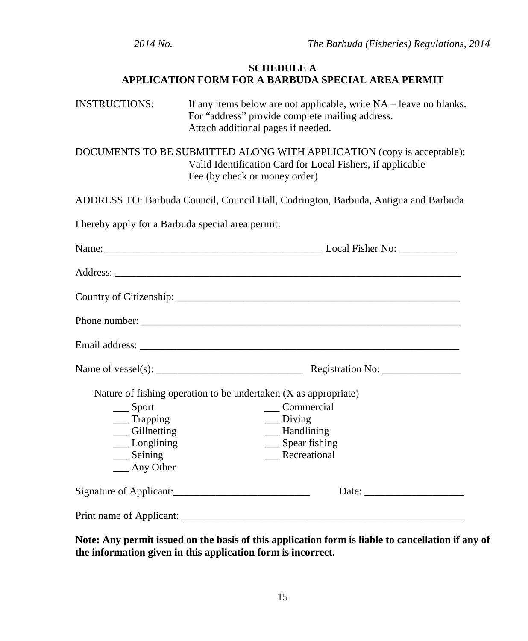### **SCHEDULE A APPLICATION FORM FOR A BARBUDA SPECIAL AREA PERMIT**

INSTRUCTIONS: If any items below are not applicable, write NA – leave no blanks. For "address" provide complete mailing address. Attach additional pages if needed. DOCUMENTS TO BE SUBMITTED ALONG WITH APPLICATION (copy is acceptable): Valid Identification Card for Local Fishers, if applicable Fee (by check or money order) ADDRESS TO: Barbuda Council, Council Hall, Codrington, Barbuda, Antigua and Barbuda I hereby apply for a Barbuda special area permit: Name:\_\_\_\_\_\_\_\_\_\_\_\_\_\_\_\_\_\_\_\_\_\_\_\_\_\_\_\_\_\_\_\_\_\_\_\_\_\_\_\_\_\_ Local Fisher No: \_\_\_\_\_\_\_\_\_\_\_ Address: \_\_\_\_\_\_\_\_\_\_\_\_\_\_\_\_\_\_\_\_\_\_\_\_\_\_\_\_\_\_\_\_\_\_\_\_\_\_\_\_\_\_\_\_\_\_\_\_\_\_\_\_\_\_\_\_\_\_\_\_\_\_\_\_\_\_ Country of Citizenship: \_\_\_\_\_\_\_\_\_\_\_\_\_\_\_\_\_\_\_\_\_\_\_\_\_\_\_\_\_\_\_\_\_\_\_\_\_\_\_\_\_\_\_\_\_\_\_\_\_\_\_\_\_\_ Phone number: \_\_\_\_\_\_\_\_\_\_\_\_\_\_\_\_\_\_\_\_\_\_\_\_\_\_\_\_\_\_\_\_\_\_\_\_\_\_\_\_\_\_\_\_\_\_\_\_\_\_\_\_\_\_\_\_\_\_\_\_\_ Email address: \_\_\_\_\_\_\_\_\_\_\_\_\_\_\_\_\_\_\_\_\_\_\_\_\_\_\_\_\_\_\_\_\_\_\_\_\_\_\_\_\_\_\_\_\_\_\_\_\_\_\_\_\_\_\_\_\_\_\_\_\_ Name of vessel(s): \_\_\_\_\_\_\_\_\_\_\_\_\_\_\_\_\_\_\_\_\_\_\_\_\_\_\_\_ Registration No: \_\_\_\_\_\_\_\_\_\_\_\_\_\_\_ Nature of fishing operation to be undertaken (X as appropriate) \_\_\_ Sport \_\_\_ Commercial<br>\_\_\_ Trapping \_\_\_\_ \_\_\_ \_\_\_ Diving \_\_\_ Trapping \_\_\_ Diving \_\_\_ Diving<br>
\_\_\_ Gillnetting \_\_\_ Handlining  $\frac{1}{\sqrt{2}}$  Gillnetting \_\_\_ Longlining *\_\_\_* Spear fishing \_\_ Recreational Any Other Signature of Applicant:\_\_\_\_\_\_\_\_\_\_\_\_\_\_\_\_\_\_\_\_\_\_\_\_\_\_ Date: \_\_\_\_\_\_\_\_\_\_\_\_\_\_\_\_\_\_\_ Print name of Applicant: \_\_\_\_\_\_\_\_\_\_\_\_\_\_\_\_\_\_\_\_\_\_\_\_\_\_\_\_\_\_\_\_\_\_\_\_\_\_\_\_\_\_\_\_\_\_\_\_\_\_\_\_\_\_

**Note: Any permit issued on the basis of this application form is liable to cancellation if any of the information given in this application form is incorrect.**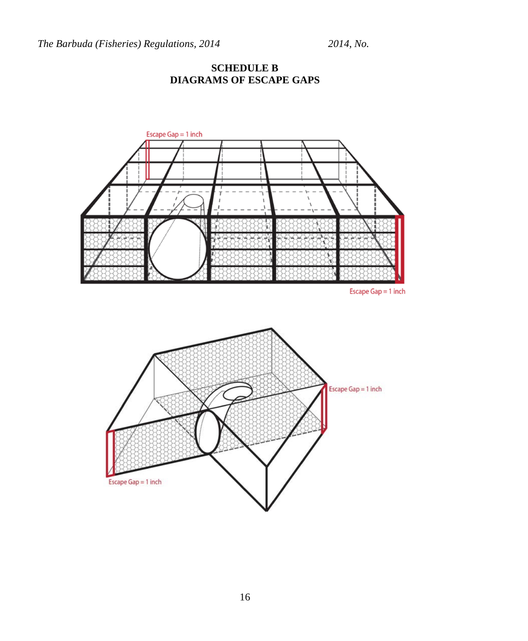

# **SCHEDULE B DIAGRAMS OF ESCAPE GAPS**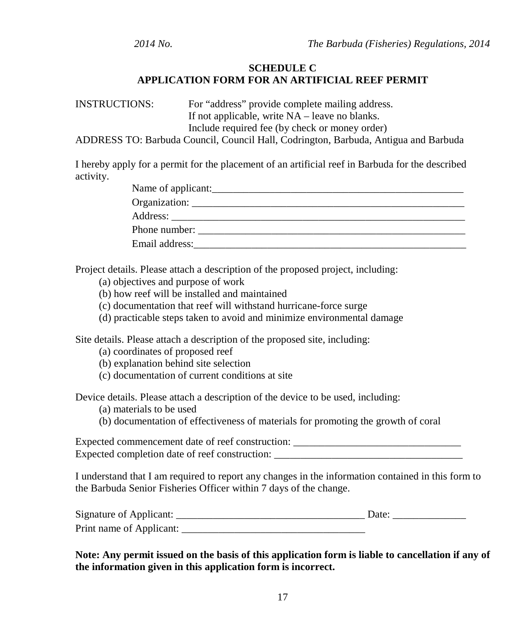## **SCHEDULE C APPLICATION FORM FOR AN ARTIFICIAL REEF PERMIT**

INSTRUCTIONS: For "address" provide complete mailing address. If not applicable, write NA – leave no blanks. Include required fee (by check or money order)

ADDRESS TO: Barbuda Council, Council Hall, Codrington, Barbuda, Antigua and Barbuda

I hereby apply for a permit for the placement of an artificial reef in Barbuda for the described activity.

|                  | Name of applicant: |  |
|------------------|--------------------|--|
|                  |                    |  |
|                  |                    |  |
|                  |                    |  |
| Email address:__ |                    |  |

Project details. Please attach a description of the proposed project, including:

- (a) objectives and purpose of work
- (b) how reef will be installed and maintained
- (c) documentation that reef will withstand hurricane-force surge
- (d) practicable steps taken to avoid and minimize environmental damage

Site details. Please attach a description of the proposed site, including:

- (a) coordinates of proposed reef
- (b) explanation behind site selection
- (c) documentation of current conditions at site

Device details. Please attach a description of the device to be used, including:

- (a) materials to be used
- (b) documentation of effectiveness of materials for promoting the growth of coral

Expected commencement date of reef construction: \_\_\_\_\_\_\_\_\_\_\_\_\_\_\_\_\_\_\_\_\_\_\_\_\_\_\_\_\_\_\_\_ Expected completion date of reef construction:

I understand that I am required to report any changes in the information contained in this form to the Barbuda Senior Fisheries Officer within 7 days of the change.

| Signature of Applicant:  |  |
|--------------------------|--|
| Print name of Applicant: |  |

**Note: Any permit issued on the basis of this application form is liable to cancellation if any of the information given in this application form is incorrect.**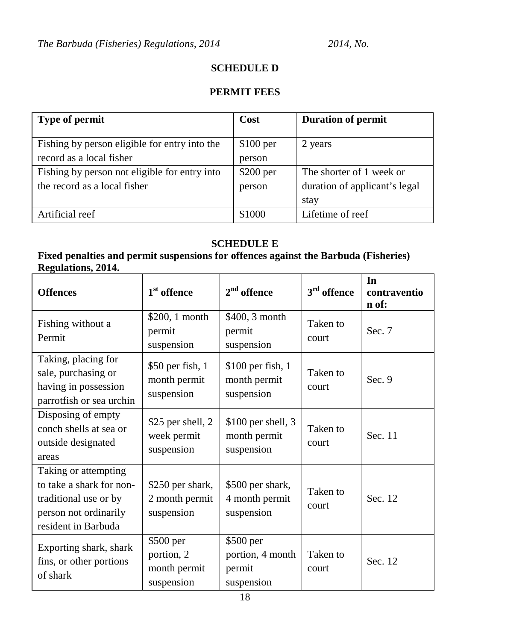## **SCHEDULE D**

# **PERMIT FEES**

| <b>Type of permit</b>                         | Cost       | <b>Duration of permit</b>     |  |
|-----------------------------------------------|------------|-------------------------------|--|
|                                               |            |                               |  |
| Fishing by person eligible for entry into the | $$100$ per | 2 years                       |  |
| record as a local fisher                      | person     |                               |  |
| Fishing by person not eligible for entry into | $$200$ per | The shorter of 1 week or      |  |
| the record as a local fisher                  | person     | duration of applicant's legal |  |
|                                               |            | stay                          |  |
| Artificial reef                               | \$1000     | Lifetime of reef              |  |

## **SCHEDULE E**

**Fixed penalties and permit suspensions for offences against the Barbuda (Fisheries) Regulations, 2014.** 

| <b>Offences</b>                                                                                                           | 1 <sup>st</sup> offence                               | $2nd$ offence                                         | 3 <sup>rd</sup> offence | $\mathbf{In}$<br>contraventio<br>n of: |
|---------------------------------------------------------------------------------------------------------------------------|-------------------------------------------------------|-------------------------------------------------------|-------------------------|----------------------------------------|
| Fishing without a<br>Permit                                                                                               | $$200, 1$ month<br>permit<br>suspension               | \$400, 3 month<br>permit<br>suspension                | Taken to<br>court       | Sec. 7                                 |
| Taking, placing for<br>sale, purchasing or<br>having in possession<br>parrotfish or sea urchin                            | \$50 per fish, 1<br>month permit<br>suspension        | \$100 per fish, 1<br>month permit<br>suspension       | Taken to<br>court       | Sec. 9                                 |
| Disposing of empty<br>conch shells at sea or<br>outside designated<br>areas                                               | \$25 per shell, 2<br>week permit<br>suspension        | $$100$ per shell, 3<br>month permit<br>suspension     | Taken to<br>court       | Sec. 11                                |
| Taking or attempting<br>to take a shark for non-<br>traditional use or by<br>person not ordinarily<br>resident in Barbuda | \$250 per shark,<br>2 month permit<br>suspension      | \$500 per shark,<br>4 month permit<br>suspension      | Taken to<br>court       | Sec. 12                                |
| Exporting shark, shark<br>fins, or other portions<br>of shark                                                             | \$500 per<br>portion, 2<br>month permit<br>suspension | \$500 per<br>portion, 4 month<br>permit<br>suspension | Taken to<br>court       | Sec. 12                                |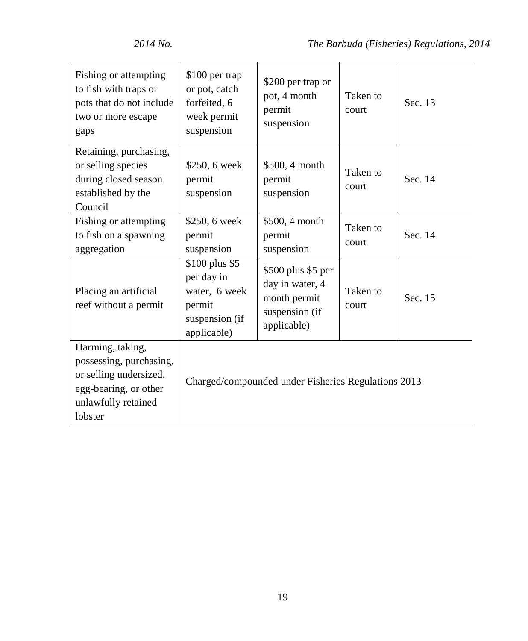| Fishing or attempting<br>to fish with traps or<br>pots that do not include<br>two or more escape<br>gaps                         | \$100 per trap<br>or pot, catch<br>forfeited, 6<br>week permit<br>suspension             | \$200 per trap or<br>pot, 4 month<br>permit<br>suspension                              | Taken to<br>court | Sec. 13 |
|----------------------------------------------------------------------------------------------------------------------------------|------------------------------------------------------------------------------------------|----------------------------------------------------------------------------------------|-------------------|---------|
| Retaining, purchasing,<br>or selling species<br>during closed season<br>established by the<br>Council                            | \$250, 6 week<br>permit<br>suspension                                                    | \$500, 4 month<br>permit<br>suspension                                                 | Taken to<br>court | Sec. 14 |
| Fishing or attempting<br>to fish on a spawning<br>aggregation                                                                    | \$250, 6 week<br>permit<br>suspension                                                    | \$500, 4 month<br>permit<br>suspension                                                 | Taken to<br>court | Sec. 14 |
| Placing an artificial<br>reef without a permit                                                                                   | \$100 plus \$5<br>per day in<br>water, 6 week<br>permit<br>suspension (if<br>applicable) | \$500 plus \$5 per<br>day in water, 4<br>month permit<br>suspension (if<br>applicable) | Taken to<br>court | Sec. 15 |
| Harming, taking,<br>possessing, purchasing,<br>or selling undersized,<br>egg-bearing, or other<br>unlawfully retained<br>lobster |                                                                                          | Charged/compounded under Fisheries Regulations 2013                                    |                   |         |